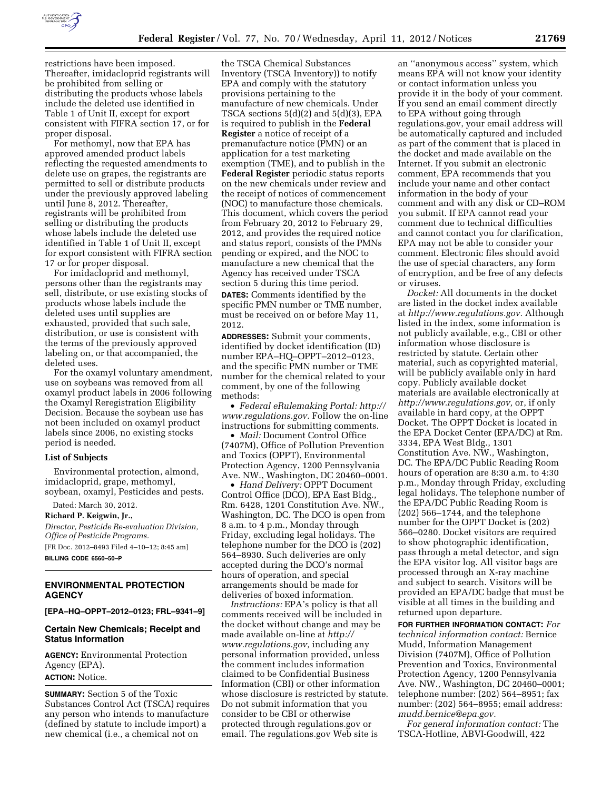

restrictions have been imposed. Thereafter, imidacloprid registrants will be prohibited from selling or distributing the products whose labels include the deleted use identified in Table 1 of Unit II, except for export consistent with FIFRA section 17, or for proper disposal.

For methomyl, now that EPA has approved amended product labels reflecting the requested amendments to delete use on grapes, the registrants are permitted to sell or distribute products under the previously approved labeling until June 8, 2012. Thereafter, registrants will be prohibited from selling or distributing the products whose labels include the deleted use identified in Table 1 of Unit II, except for export consistent with FIFRA section 17 or for proper disposal.

For imidacloprid and methomyl, persons other than the registrants may sell, distribute, or use existing stocks of products whose labels include the deleted uses until supplies are exhausted, provided that such sale, distribution, or use is consistent with the terms of the previously approved labeling on, or that accompanied, the deleted uses.

For the oxamyl voluntary amendment, use on soybeans was removed from all oxamyl product labels in 2006 following the Oxamyl Reregistration Eligibility Decision. Because the soybean use has not been included on oxamyl product labels since 2006, no existing stocks period is needed.

#### **List of Subjects**

Environmental protection, almond, imidacloprid, grape, methomyl, soybean, oxamyl, Pesticides and pests.

Dated: March 30, 2012.

**Richard P. Keigwin, Jr.,** 

*Director, Pesticide Re-evaluation Division, Office of Pesticide Programs.* 

[FR Doc. 2012–8493 Filed 4–10–12; 8:45 am] **BILLING CODE 6560–50–P** 

## **ENVIRONMENTAL PROTECTION AGENCY**

**[EPA–HQ–OPPT–2012–0123; FRL–9341–9]** 

### **Certain New Chemicals; Receipt and Status Information**

**AGENCY:** Environmental Protection Agency (EPA). **ACTION:** Notice.

**SUMMARY:** Section 5 of the Toxic Substances Control Act (TSCA) requires any person who intends to manufacture (defined by statute to include import) a new chemical (i.e., a chemical not on

the TSCA Chemical Substances Inventory (TSCA Inventory)) to notify EPA and comply with the statutory provisions pertaining to the manufacture of new chemicals. Under TSCA sections 5(d)(2) and 5(d)(3), EPA is required to publish in the **Federal Register** a notice of receipt of a premanufacture notice (PMN) or an application for a test marketing exemption (TME), and to publish in the **Federal Register** periodic status reports on the new chemicals under review and the receipt of notices of commencement (NOC) to manufacture those chemicals. This document, which covers the period from February 20, 2012 to February 29, 2012, and provides the required notice and status report, consists of the PMNs pending or expired, and the NOC to manufacture a new chemical that the Agency has received under TSCA section 5 during this time period. **DATES:** Comments identified by the specific PMN number or TME number, must be received on or before May 11, 2012.

**ADDRESSES:** Submit your comments, identified by docket identification (ID) number EPA–HQ–OPPT–2012–0123, and the specific PMN number or TME number for the chemical related to your comment, by one of the following methods:

• *Federal eRulemaking Portal: [http://](http://www.regulations.gov)  [www.regulations.gov.](http://www.regulations.gov)* Follow the on-line instructions for submitting comments.

• *Mail:* Document Control Office (7407M), Office of Pollution Prevention and Toxics (OPPT), Environmental Protection Agency, 1200 Pennsylvania Ave. NW., Washington, DC 20460–0001.

• *Hand Delivery:* OPPT Document Control Office (DCO), EPA East Bldg., Rm. 6428, 1201 Constitution Ave. NW., Washington, DC. The DCO is open from 8 a.m. to 4 p.m., Monday through Friday, excluding legal holidays. The telephone number for the DCO is (202) 564–8930. Such deliveries are only accepted during the DCO's normal hours of operation, and special arrangements should be made for deliveries of boxed information.

*Instructions:* EPA's policy is that all comments received will be included in the docket without change and may be made available on-line at *[http://](http://www.regulations.gov)  [www.regulations.gov,](http://www.regulations.gov)* including any personal information provided, unless the comment includes information claimed to be Confidential Business Information (CBI) or other information whose disclosure is restricted by statute. Do not submit information that you consider to be CBI or otherwise protected through regulations.gov or email. The regulations.gov Web site is

an ''anonymous access'' system, which means EPA will not know your identity or contact information unless you provide it in the body of your comment. If you send an email comment directly to EPA without going through regulations.gov, your email address will be automatically captured and included as part of the comment that is placed in the docket and made available on the Internet. If you submit an electronic comment, EPA recommends that you include your name and other contact information in the body of your comment and with any disk or CD–ROM you submit. If EPA cannot read your comment due to technical difficulties and cannot contact you for clarification, EPA may not be able to consider your comment. Electronic files should avoid the use of special characters, any form of encryption, and be free of any defects or viruses.

*Docket:* All documents in the docket are listed in the docket index available at *[http://www.regulations.gov.](http://www.regulations.gov)* Although listed in the index, some information is not publicly available, e.g., CBI or other information whose disclosure is restricted by statute. Certain other material, such as copyrighted material, will be publicly available only in hard copy. Publicly available docket materials are available electronically at *[http://www.regulations.gov,](http://www.regulations.gov)* or, if only available in hard copy, at the OPPT Docket. The OPPT Docket is located in the EPA Docket Center (EPA/DC) at Rm. 3334, EPA West Bldg., 1301 Constitution Ave. NW., Washington, DC. The EPA/DC Public Reading Room hours of operation are 8:30 a.m. to 4:30 p.m., Monday through Friday, excluding legal holidays. The telephone number of the EPA/DC Public Reading Room is (202) 566–1744, and the telephone number for the OPPT Docket is (202) 566–0280. Docket visitors are required to show photographic identification, pass through a metal detector, and sign the EPA visitor log. All visitor bags are processed through an X-ray machine and subject to search. Visitors will be provided an EPA/DC badge that must be visible at all times in the building and returned upon departure.

**FOR FURTHER INFORMATION CONTACT:** *For technical information contact:* Bernice Mudd, Information Management Division (7407M), Office of Pollution Prevention and Toxics, Environmental Protection Agency, 1200 Pennsylvania Ave. NW., Washington, DC 20460–0001; telephone number: (202) 564–8951; fax number: (202) 564–8955; email address: *[mudd.bernice@epa.gov.](mailto:mudd.bernice@epa.gov)* 

*For general information contact:* The TSCA-Hotline, ABVI-Goodwill, 422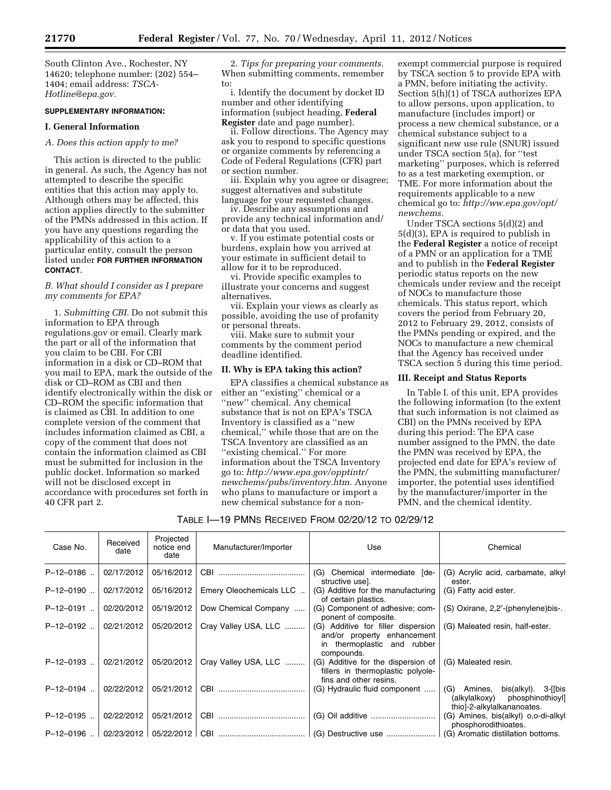South Clinton Ave., Rochester, NY 14620; telephone number: (202) 554– 1404; email address: *[TSCA-](mailto:TSCA-Hotline@epa.gov)[Hotline@epa.gov.](mailto:TSCA-Hotline@epa.gov)* 

#### **SUPPLEMENTARY INFORMATION:**

### **I. General Information**

# *A. Does this action apply to me?*

This action is directed to the public in general. As such, the Agency has not attempted to describe the specific entities that this action may apply to. Although others may be affected, this action applies directly to the submitter of the PMNs addressed in this action. If you have any questions regarding the applicability of this action to a particular entity, consult the person listed under **FOR FURTHER INFORMATION CONTACT**.

### *B. What should I consider as I prepare my comments for EPA?*

1. *Submitting CBI.* Do not submit this information to EPA through regulations.gov or email. Clearly mark the part or all of the information that you claim to be CBI. For CBI information in a disk or CD–ROM that you mail to EPA, mark the outside of the disk or CD–ROM as CBI and then identify electronically within the disk or CD–ROM the specific information that is claimed as CBI. In addition to one complete version of the comment that includes information claimed as CBI, a copy of the comment that does not contain the information claimed as CBI must be submitted for inclusion in the public docket. Information so marked will not be disclosed except in accordance with procedures set forth in 40 CFR part 2.

2. *Tips for preparing your comments.*  When submitting comments, remember to:

i. Identify the document by docket ID number and other identifying information (subject heading, **Federal Register** date and page number).

ii. Follow directions. The Agency may ask you to respond to specific questions or organize comments by referencing a Code of Federal Regulations (CFR) part or section number.

iii. Explain why you agree or disagree; suggest alternatives and substitute language for your requested changes.

iv. Describe any assumptions and provide any technical information and/ or data that you used.

v. If you estimate potential costs or burdens, explain how you arrived at your estimate in sufficient detail to allow for it to be reproduced.

vi. Provide specific examples to illustrate your concerns and suggest alternatives.

vii. Explain your views as clearly as possible, avoiding the use of profanity or personal threats.

viii. Make sure to submit your comments by the comment period deadline identified.

### **II. Why is EPA taking this action?**

EPA classifies a chemical substance as either an ''existing'' chemical or a ''new'' chemical. Any chemical substance that is not on EPA's TSCA Inventory is classified as a ''new chemical,'' while those that are on the TSCA Inventory are classified as an ''existing chemical.'' For more information about the TSCA Inventory go to: *[http://www.epa.gov/opptintr/](http://www.epa.gov/opptintr/newchems/pubs/inventory.htm)  [newchems/pubs/inventory.htm.](http://www.epa.gov/opptintr/newchems/pubs/inventory.htm)* Anyone who plans to manufacture or import a new chemical substance for a non-

exempt commercial purpose is required by TSCA section 5 to provide EPA with a PMN, before initiating the activity. Section 5(h)(1) of TSCA authorizes EPA to allow persons, upon application, to manufacture (includes import) or process a new chemical substance, or a chemical substance subject to a significant new use rule (SNUR) issued under TSCA section 5(a), for ''test marketing'' purposes, which is referred to as a test marketing exemption, or TME. For more information about the requirements applicable to a new chemical go to: *[http://ww.epa.gov/opt/](http://ww.epa.gov/opt/newchems)  [newchems.](http://ww.epa.gov/opt/newchems)* 

Under TSCA sections 5(d)(2) and 5(d)(3), EPA is required to publish in the **Federal Register** a notice of receipt of a PMN or an application for a TME and to publish in the **Federal Register**  periodic status reports on the new chemicals under review and the receipt of NOCs to manufacture those chemicals. This status report, which covers the period from February 20, 2012 to February 29, 2012, consists of the PMNs pending or expired, and the NOCs to manufacture a new chemical that the Agency has received under TSCA section 5 during this time period.

### **III. Receipt and Status Reports**

In Table I. of this unit, EPA provides the following information (to the extent that such information is not claimed as CBI) on the PMNs received by EPA during this period: The EPA case number assigned to the PMN, the date the PMN was received by EPA, the projected end date for EPA's review of the PMN, the submitting manufacturer/ importer, the potential uses identified by the manufacturer/importer in the PMN, and the chemical identity.

# TABLE I—19 PMNS RECEIVED FROM 02/20/12 TO 02/29/12

| Case No.    | Received<br>date | Projected<br>notice end<br>date | Manufacturer/Importer   | Use                                                                                                            | Chemical                                                                                              |
|-------------|------------------|---------------------------------|-------------------------|----------------------------------------------------------------------------------------------------------------|-------------------------------------------------------------------------------------------------------|
| P-12-0186   | 02/17/2012       | 05/16/2012                      |                         | (G) Chemical intermediate [de-<br>structive usel.                                                              | (G) Acrylic acid, carbamate, alkyl<br>ester.                                                          |
| P-12-0190   | 02/17/2012       | 05/16/2012                      | Emery Oleochemicals LLC | (G) Additive for the manufacturing<br>of certain plastics.                                                     | (G) Fatty acid ester.                                                                                 |
| $P-12-0191$ | 02/20/2012       | 05/19/2012                      | Dow Chemical Company    | (G) Component of adhesive; com-<br>ponent of composite.                                                        | (S) Oxirane, 2,2'-(phenylene)bis-.                                                                    |
| $P-12-0192$ | 02/21/2012       | 05/20/2012                      | Cray Valley USA, LLC    | (G) Additive for filler dispersion<br>and/or property enhancement<br>in thermoplastic and rubber<br>compounds. | (G) Maleated resin, half-ester.                                                                       |
| $P-12-0193$ | 02/21/2012       | 05/20/2012                      | Cray Valley USA, LLC    | (G) Additive for the dispersion of<br>fillers in thermoplastic polyole-<br>fins and other resins.              | (G) Maleated resin.                                                                                   |
| $P-12-0194$ | 02/22/2012       | 05/21/2012                      |                         | (G) Hydraulic fluid component                                                                                  | (G) Amines,<br>bis(alkyl). $3$ -[[bis<br>(alkylalkoxy) phosphinothioyl]<br>thio]-2-alkylalkananoates. |
| $P-12-0195$ | 02/22/2012       | 05/21/2012                      | CBI                     |                                                                                                                | (G) Amines, bis(alkyl) o,o-di-alkyl<br>phosphorodithioates.                                           |
| $P-12-0196$ |                  |                                 |                         |                                                                                                                | (G) Aromatic distillation bottoms.                                                                    |